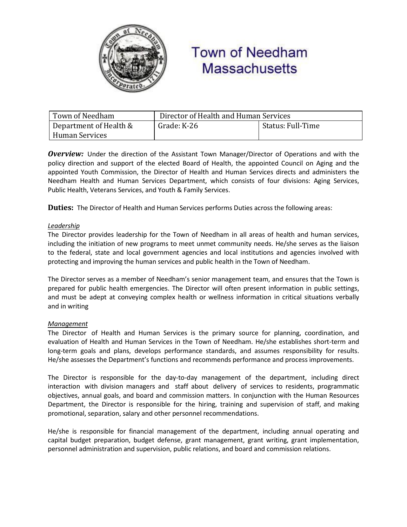

# **Town of Needham Massachusetts**

| Town of Needham        | Director of Health and Human Services |                   |
|------------------------|---------------------------------------|-------------------|
| Department of Health & | Grade: K-26                           | Status: Full-Time |
| Human Services         |                                       |                   |

*Overview:* Under the direction of the Assistant Town Manager/Director of Operations and with the policy direction and support of the elected Board of Health, the appointed Council on Aging and the appointed Youth Commission, the Director of Health and Human Services directs and administers the Needham Health and Human Services Department, which consists of four divisions: Aging Services, Public Health, Veterans Services, and Youth & Family Services.

**Duties:** The Director of Health and Human Services performs Duties across the following areas:

#### *Leadership*

The Director provides leadership for the Town of Needham in all areas of health and human services, including the initiation of new programs to meet unmet community needs. He/she serves as the liaison to the federal, state and local government agencies and local institutions and agencies involved with protecting and improving the human services and public health in the Town of Needham.

The Director serves as a member of Needham's senior management team, and ensures that the Town is prepared for public health emergencies. The Director will often present information in public settings, and must be adept at conveying complex health or wellness information in critical situations verbally and in writing

#### *Management*

The Director of Health and Human Services is the primary source for planning, coordination, and evaluation of Health and Human Services in the Town of Needham. He/she establishes short-term and long-term goals and plans, develops performance standards, and assumes responsibility for results. He/she assesses the Department's functions and recommends performance and process improvements.

The Director is responsible for the day-to-day management of the department, including direct interaction with division managers and staff about delivery of services to residents, programmatic objectives, annual goals, and board and commission matters. In conjunction with the Human Resources Department, the Director is responsible for the hiring, training and supervision of staff, and making promotional, separation, salary and other personnel recommendations.

He/she is responsible for financial management of the department, including annual operating and capital budget preparation, budget defense, grant management, grant writing, grant implementation, personnel administration and supervision, public relations, and board and commission relations.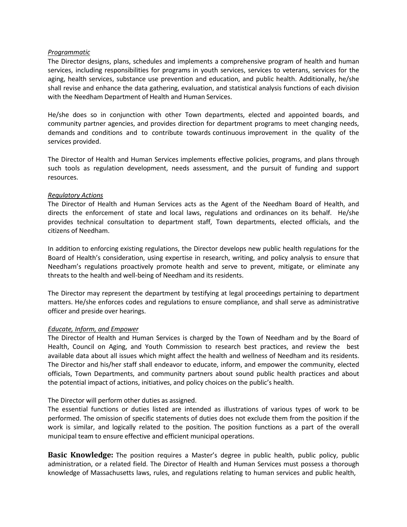#### *Programmatic*

The Director designs, plans, schedules and implements a comprehensive program of health and human services, including responsibilities for programs in youth services, services to veterans, services for the aging, health services, substance use prevention and education, and public health. Additionally, he/she shall revise and enhance the data gathering, evaluation, and statistical analysis functions of each division with the Needham Department of Health and Human Services.

He/she does so in conjunction with other Town departments, elected and appointed boards, and community partner agencies, and provides direction for department programs to meet changing needs, demands and conditions and to contribute towards continuous improvement in the quality of the services provided.

The Director of Health and Human Services implements effective policies, programs, and plans through such tools as regulation development, needs assessment, and the pursuit of funding and support resources.

#### *Regulatory Actions*

The Director of Health and Human Services acts as the Agent of the Needham Board of Health, and directs the enforcement of state and local laws, regulations and ordinances on its behalf. He/she provides technical consultation to department staff, Town departments, elected officials, and the citizens of Needham.

In addition to enforcing existing regulations, the Director develops new public health regulations for the Board of Health's consideration, using expertise in research, writing, and policy analysis to ensure that Needham's regulations proactively promote health and serve to prevent, mitigate, or eliminate any threats to the health and well-being of Needham and its residents.

The Director may represent the department by testifying at legal proceedings pertaining to department matters. He/she enforces codes and regulations to ensure compliance, and shall serve as administrative officer and preside over hearings.

#### *Educate, Inform, and Empower*

The Director of Health and Human Services is charged by the Town of Needham and by the Board of Health, Council on Aging, and Youth Commission to research best practices, and review the best available data about all issues which might affect the health and wellness of Needham and its residents. The Director and his/her staff shall endeavor to educate, inform, and empower the community, elected officials, Town Departments, and community partners about sound public health practices and about the potential impact of actions, initiatives, and policy choices on the public's health.

#### The Director will perform other duties as assigned.

The essential functions or duties listed are intended as illustrations of various types of work to be performed. The omission of specific statements of duties does not exclude them from the position if the work is similar, and logically related to the position. The position functions as a part of the overall municipal team to ensure effective and efficient municipal operations.

**Basic Knowledge:** The position requires a Master's degree in public health, public policy, public administration, or a related field. The Director of Health and Human Services must possess a thorough knowledge of Massachusetts laws, rules, and regulations relating to human services and public health,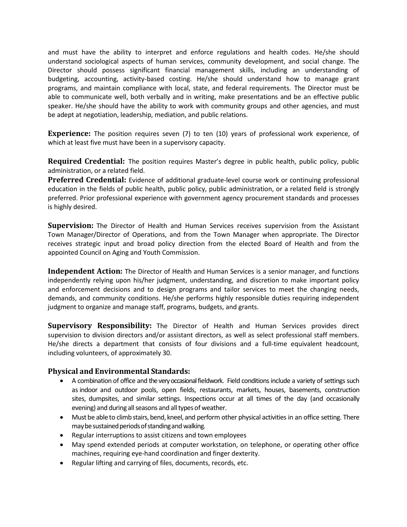and must have the ability to interpret and enforce regulations and health codes. He/she should understand sociological aspects of human services, community development, and social change. The Director should possess significant financial management skills, including an understanding of budgeting, accounting, activity-based costing. He/she should understand how to manage grant programs, and maintain compliance with local, state, and federal requirements. The Director must be able to communicate well, both verbally and in writing, make presentations and be an effective public speaker. He/she should have the ability to work with community groups and other agencies, and must be adept at negotiation, leadership, mediation, and public relations.

**Experience:** The position requires seven (7) to ten (10) years of professional work experience, of which at least five must have been in a supervisory capacity.

**Required Credential:** The position requires Master's degree in public health, public policy, public administration, or a related field.

**Preferred Credential:** Evidence of additional graduate-level course work or continuing professional education in the fields of public health, public policy, public administration, or a related field is strongly preferred. Prior professional experience with government agency procurement standards and processes is highly desired.

**Supervision:** The Director of Health and Human Services receives supervision from the Assistant Town Manager/Director of Operations, and from the Town Manager when appropriate. The Director receives strategic input and broad policy direction from the elected Board of Health and from the appointed Council on Aging and Youth Commission.

**Independent Action:** The Director of Health and Human Services is a senior manager, and functions independently relying upon his/her judgment, understanding, and discretion to make important policy and enforcement decisions and to design programs and tailor services to meet the changing needs, demands, and community conditions. He/she performs highly responsible duties requiring independent judgment to organize and manage staff, programs, budgets, and grants.

**Supervisory Responsibility:** The Director of Health and Human Services provides direct supervision to division directors and/or assistant directors, as well as select professional staff members. He/she directs a department that consists of four divisions and a full-time equivalent headcount, including volunteers, of approximately 30.

### **Physical and Environmental Standards:**

- A combination of office and the very occasional fieldwork. Field conditions include a variety of settings such as indoor and outdoor pools, open fields, restaurants, markets, houses, basements, construction sites, dumpsites, and similar settings. Inspections occur at all times of the day (and occasionally evening) and during all seasons and all types of weather.
- Must be able to climb stairs, bend, kneel, and perform other physical activities in an office setting. There may be sustained periods of standing and walking.
- Regular interruptions to assist citizens and town employees
- May spend extended periods at computer workstation, on telephone, or operating other office machines, requiring eye-hand coordination and finger dexterity.
- Regular lifting and carrying of files, documents, records, etc.